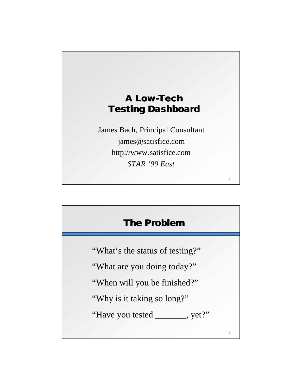

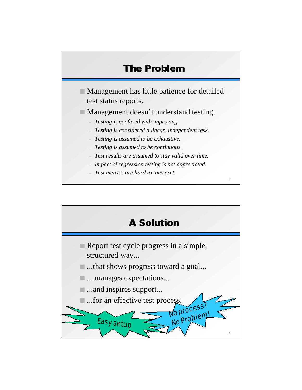

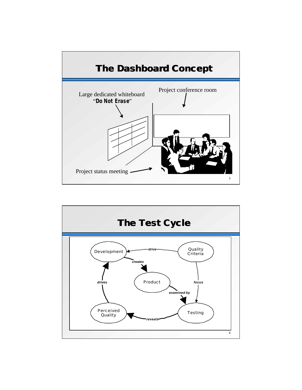

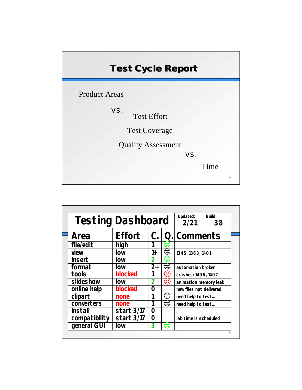| <b>Test Cycle Report</b>  |     |      |   |
|---------------------------|-----|------|---|
| <b>Product Areas</b>      |     |      |   |
| VS.<br><b>Test Effort</b> |     |      |   |
| <b>Test Coverage</b>      |     |      |   |
| <b>Quality Assessment</b> |     |      |   |
|                           | VS. |      |   |
|                           |     | Time |   |
|                           |     |      | 7 |

| <b>Testing Dashboard</b> |              | Updated:<br>2/21 | Build:<br>38 |                         |  |
|--------------------------|--------------|------------------|--------------|-------------------------|--|
| Area                     | Effort       | C.               |              | Q. Comments             |  |
| file/edit                | high         |                  | Œ            |                         |  |
| view                     | low          | 1+               | ⊖            | 1345, 1363, 1401        |  |
| insert                   | low          | 2                | Œ            |                         |  |
| format                   | low          | $2+$             | ☺            | automation broken       |  |
| tools                    | blocked      |                  | ౪            | crashes: 1406, 1407     |  |
| slideshow                | low          | 2                | ⊗            | animation memory leak   |  |
| online help              | blocked      | Ω                |              | new files not delivered |  |
| clipart                  | none         |                  | ☺            | need help to test       |  |
| converters               | none         |                  | ☺            | need help to test       |  |
| install                  | start 3/17   | $\Omega$         |              |                         |  |
| compatibility            | start $3/17$ | 0                |              | lab time is scheduled   |  |
| general GUI              | low          | 3                | €            |                         |  |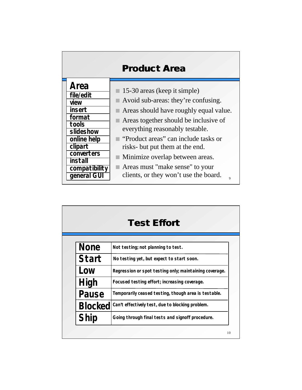|                                                                                                                                                        | <b>Product Area</b>                                                                                                                                                                                                                                                                                                                                                                                |
|--------------------------------------------------------------------------------------------------------------------------------------------------------|----------------------------------------------------------------------------------------------------------------------------------------------------------------------------------------------------------------------------------------------------------------------------------------------------------------------------------------------------------------------------------------------------|
| Area<br>file/edit<br>view<br>insert<br>format<br>tools<br>slideshow<br>online help<br>clipart<br>converters<br>install<br>compatibility<br>general GUI | 15-30 areas (keep it simple)<br>Avoid sub-areas: they're confusing.<br>Areas should have roughly equal value.<br>Areas together should be inclusive of<br>everything reasonably testable.<br>"Product areas" can include tasks or<br>risks- but put them at the end.<br>Minimize overlap between areas.<br>Areas must "make sense" to your<br>clients, or they won't use the board.<br>$\mathbf Q$ |

|                | <b>Test Effort</b>                                     |  |
|----------------|--------------------------------------------------------|--|
|                |                                                        |  |
| <b>None</b>    | Not testing; not planning to test.                     |  |
| Start          | No testing yet, but expect to start soon.              |  |
| Low            | Regression or spot testing only; maintaining coverage. |  |
| High           | Focused testing effort; increasing coverage.           |  |
| Pause          | Temporarily ceased testing, though area is testable.   |  |
| <b>Blocked</b> | Can't effectively test, due to blocking problem.       |  |
| Ship           | Going through final tests and signoff procedure.       |  |
|                | 10                                                     |  |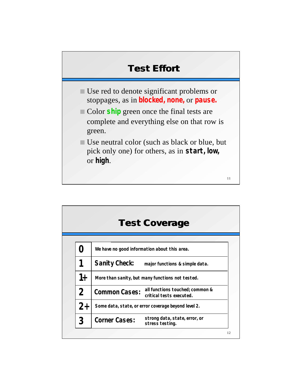

|                | <b>Test Coverage</b>                                                                |
|----------------|-------------------------------------------------------------------------------------|
|                |                                                                                     |
|                | We have no good information about this area.                                        |
|                | Sanity Check:<br>major functions & simple data.                                     |
| 1+             | More than sanity, but many functions not tested.                                    |
| $\overline{2}$ | all functions touched; common &<br><b>Common Cases:</b><br>critical tests executed. |
| $2^{+}$        | Some data, state, or error coverage beyond level 2.                                 |
| 3              | strong data, state, error, or<br><b>Corner Cases:</b><br>stress testing.            |
|                | 12                                                                                  |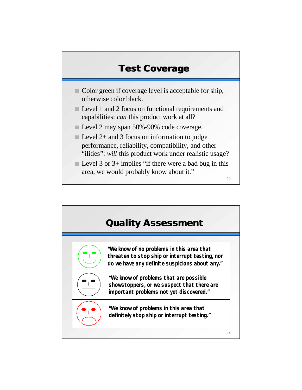## **Test Coverage**

- $\Box$  Color green if coverage level is acceptable for ship, otherwise color black.
- **n** Level 1 and 2 focus on functional requirements and capabilities: *can* this product work at all?
- Level 2 may span 50%-90% code coverage.
- $\blacksquare$  Level 2+ and 3 focus on information to judge performance, reliability, compatibility, and other "ilities": will this product work under realistic usage?
- $\blacksquare$  Level 3 or 3+ implies "if there were a bad bug in this area, we would probably know about it."

13